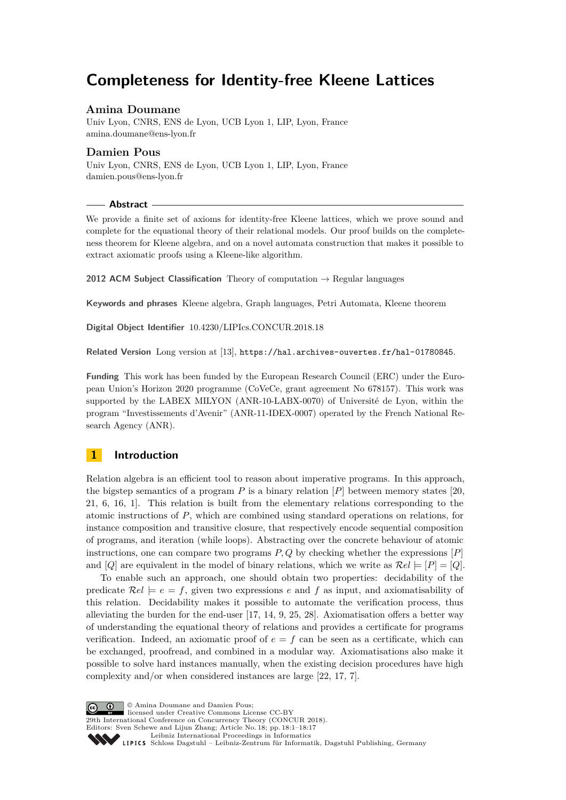# **Completeness for Identity-free Kleene Lattices**

# **Amina Doumane**

Univ Lyon, CNRS, ENS de Lyon, UCB Lyon 1, LIP, Lyon, France [amina.doumane@ens-lyon.fr](mailto:amina.doumane@ens-lyon.fr)

# **Damien Pous**

Univ Lyon, CNRS, ENS de Lyon, UCB Lyon 1, LIP, Lyon, France [damien.pous@ens-lyon.fr](mailto:damien.pous@ens-lyon.fr)

# **Abstract**

We provide a finite set of axioms for identity-free Kleene lattices, which we prove sound and complete for the equational theory of their relational models. Our proof builds on the completeness theorem for Kleene algebra, and on a novel automata construction that makes it possible to extract axiomatic proofs using a Kleene-like algorithm.

**2012 ACM Subject Classification** Theory of computation → Regular languages

**Keywords and phrases** Kleene algebra, Graph languages, Petri Automata, Kleene theorem

**Digital Object Identifier** [10.4230/LIPIcs.CONCUR.2018.18](http://dx.doi.org/10.4230/LIPIcs.CONCUR.2018.18)

**Related Version** Long version at [\[13\]](#page-15-0), <https://hal.archives-ouvertes.fr/hal-01780845>.

**Funding** This work has been funded by the European Research Council (ERC) under the European Union's Horizon 2020 programme (CoVeCe, grant agreement No 678157). This work was supported by the LABEX MILYON (ANR-10-LABX-0070) of Université de Lyon, within the program "Investissements d'Avenir" (ANR-11-IDEX-0007) operated by the French National Research Agency (ANR).

# **1 Introduction**

Relation algebra is an efficient tool to reason about imperative programs. In this approach, the bigstep semantics of a program  $P$  is a binary relation  $[P]$  between memory states  $[20,$ [21,](#page-15-2) [6,](#page-15-3) [16,](#page-15-4) [1\]](#page-15-5). This relation is built from the elementary relations corresponding to the atomic instructions of *P*, which are combined using standard operations on relations, for instance composition and transitive closure, that respectively encode sequential composition of programs, and iteration (while loops). Abstracting over the concrete behaviour of atomic instructions, one can compare two programs *P, Q* by checking whether the expressions [*P*] and [*Q*] are equivalent in the model of binary relations, which we write as  $\mathcal{R}el \models [P] = [Q]$ .

To enable such an approach, one should obtain two properties: decidability of the predicate  $\mathcal{R}e\mathit{l} \models e = f$ , given two expressions *e* and *f* as input, and axiomatisability of this relation. Decidability makes it possible to automate the verification process, thus alleviating the burden for the end-user [\[17,](#page-15-6) [14,](#page-15-7) [9,](#page-15-8) [25,](#page-16-0) [28\]](#page-16-1). Axiomatisation offers a better way of understanding the equational theory of relations and provides a certificate for programs verification. Indeed, an axiomatic proof of  $e = f$  can be seen as a certificate, which can be exchanged, proofread, and combined in a modular way. Axiomatisations also make it possible to solve hard instances manually, when the existing decision procedures have high complexity and/or when considered instances are large [\[22,](#page-16-2) [17,](#page-15-6) [7\]](#page-15-9).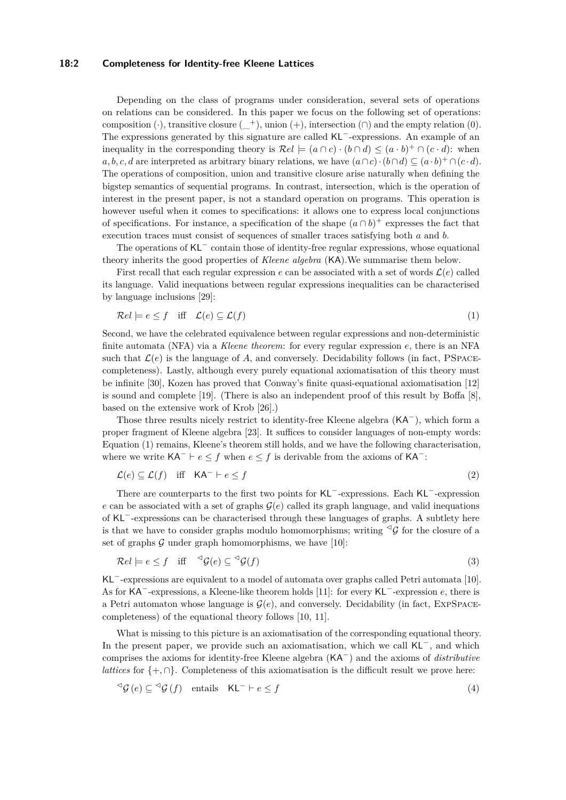#### **18:2 Completeness for Identity-free Kleene Lattices**

Depending on the class of programs under consideration, several sets of operations on relations can be considered. In this paper we focus on the following set of operations: composition (·), transitive closure  $(+)$ , union  $(+)$ , intersection  $(∩)$  and the empty relation  $(0)$ . The expressions generated by this signature are called KL<sup>−</sup>-expressions. An example of an inequality in the corresponding theory is  $\mathcal{R}el \models (a \cap c) \cdot (b \cap d) \leq (a \cdot b)^+ \cap (c \cdot d)$ : when  $a, b, c, d$  are interpreted as arbitrary binary relations, we have  $(a \cap c) \cdot (b \cap d) \subseteq (a \cdot b)^+ \cap (c \cdot d)$ . The operations of composition, union and transitive closure arise naturally when defining the bigstep semantics of sequential programs. In contrast, intersection, which is the operation of interest in the present paper, is not a standard operation on programs. This operation is however useful when it comes to specifications: it allows one to express local conjunctions of specifications. For instance, a specification of the shape  $(a \cap b)^+$  expresses the fact that execution traces must consist of sequences of smaller traces satisfying both *a* and *b*.

The operations of KL<sup>−</sup> contain those of identity-free regular expressions, whose equational theory inherits the good properties of *Kleene algebra* (KA).We summarise them below.

First recall that each regular expression  $e$  can be associated with a set of words  $\mathcal{L}(e)$  called its language. Valid inequations between regular expressions inequalities can be characterised by language inclusions [\[29\]](#page-16-4):

<span id="page-1-0"></span>
$$
\mathcal{R}el \models e \le f \quad \text{iff} \quad \mathcal{L}(e) \subseteq \mathcal{L}(f) \tag{1}
$$

Second, we have the celebrated equivalence between regular expressions and non-deterministic finite automata (NFA) via a *Kleene theorem*: for every regular expression *e*, there is an NFA such that  $\mathcal{L}(e)$  is the language of A, and conversely. Decidability follows (in fact, PSPACEcompleteness). Lastly, although every purely equational axiomatisation of this theory must be infinite [\[30\]](#page-16-5), Kozen has proved that Conway's finite quasi-equational axiomatisation [\[12\]](#page-15-10) is sound and complete [\[19\]](#page-15-11). (There is also an independent proof of this result by Boffa [\[8\]](#page-15-12), based on the extensive work of Krob [\[26\]](#page-16-6).)

Those three results nicely restrict to identity-free Kleene algebra (KA<sup>−</sup>), which form a proper fragment of Kleene algebra [\[23\]](#page-16-7). It suffices to consider languages of non-empty words: Equation [\(1\)](#page-1-0) remains, Kleene's theorem still holds, and we have the following characterisation, where we write  $\mathsf{KA}^- \vdash e \leq f$  when  $e \leq f$  is derivable from the axioms of  $\mathsf{KA}^-$ :

$$
\mathcal{L}(e) \subseteq \mathcal{L}(f) \quad \text{iff} \quad \mathsf{KA}^- \vdash e \le f \tag{2}
$$

There are counterparts to the first two points for KL<sup>−</sup>-expressions. Each KL<sup>−</sup>-expression *e* can be associated with a set of graphs  $\mathcal{G}(e)$  called its graph language, and valid inequations of KL<sup>−</sup>-expressions can be characterised through these languages of graphs. A subtlety here is that we have to consider graphs modulo homomorphisms; writing  $\mathcal{G}_G$  for the closure of a set of graphs  $G$  under graph homomorphisms, we have [\[10\]](#page-15-13):

$$
\mathcal{R}el \models e \le f \quad \text{iff} \quad \mathcal{G}(e) \subseteq \mathcal{G}(f) \tag{3}
$$

KL<sup>−</sup>-expressions are equivalent to a model of automata over graphs called Petri automata [\[10\]](#page-15-13). As for KA<sup>−</sup>-expressions, a Kleene-like theorem holds [\[11\]](#page-15-14): for every KL<sup>−</sup>-expression *e*, there is a Petri automaton whose language is  $\mathcal{G}(e)$ , and conversely. Decidability (in fact, EXPSPACEcompleteness) of the equational theory follows [\[10,](#page-15-13) [11\]](#page-15-14).

What is missing to this picture is an axiomatisation of the corresponding equational theory. In the present paper, we provide such an axiomatisation, which we call KL<sup>−</sup>, and which comprises the axioms for identity-free Kleene algebra (KA<sup>−</sup>) and the axioms of *distributive lattices* for  $\{+, \cap\}$ . Completeness of this axiomatisation is the difficult result we prove here:

$$
\mathcal{G}(e) \subseteq \mathcal{G}(f) \quad \text{entails} \quad \mathsf{KL}^- \vdash e \le f \tag{4}
$$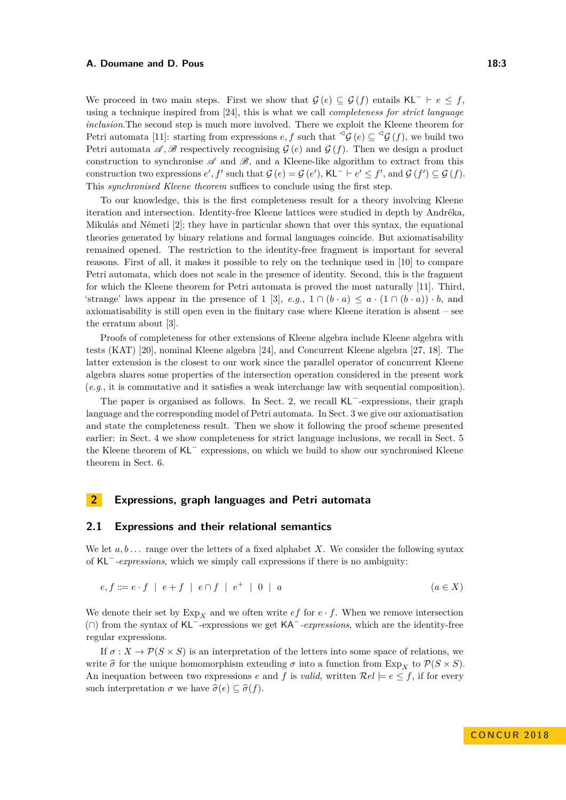#### **A. Doumane and D. Pous 18:3**

We proceed in two main steps. First we show that  $\mathcal{G}(e) \subseteq \mathcal{G}(f)$  entails KL<sup>-</sup>  $\vdash e \leq f$ , using a technique inspired from [\[24\]](#page-16-8), this is what we call *completeness for strict language inclusion*.The second step is much more involved. There we exploit the Kleene theorem for Petri automata [\[11\]](#page-15-14): starting from expressions  $e, f$  such that  $\triangle^{\mathcal{G}}(\mathcal{C}) \subseteq \triangle^{\mathcal{G}}(\mathcal{C})$ , we build two Petri automata  $\mathscr{A}, \mathscr{B}$  respectively recognising  $\mathcal{G}(e)$  and  $\mathcal{G}(f)$ . Then we design a product construction to synchronise  $\mathscr A$  and  $\mathscr B$ , and a Kleene-like algorithm to extract from this construction two expressions  $e', f'$  such that  $\mathcal{G}(e) = \mathcal{G}(e'), \text{KL}^- \vdash e' \leq f', \text{ and } \mathcal{G}(f') \subseteq \mathcal{G}(f).$ This *synchronised Kleene theorem* suffices to conclude using the first step.

To our knowledge, this is the first completeness result for a theory involving Kleene iteration and intersection. Identity-free Kleene lattices were studied in depth by Andréka, Mikulás and Németi [\[2\]](#page-15-15); they have in particular shown that over this syntax, the equational theories generated by binary relations and formal languages coincide. But axiomatisability remained opened. The restriction to the identity-free fragment is important for several reasons. First of all, it makes it possible to rely on the technique used in [\[10\]](#page-15-13) to compare Petri automata, which does not scale in the presence of identity. Second, this is the fragment for which the Kleene theorem for Petri automata is proved the most naturally [\[11\]](#page-15-14). Third, 'strange' laws appear in the presence of 1 [\[3\]](#page-15-16), *e.g.*,  $1 \cap (b \cdot a) \le a \cdot (1 \cap (b \cdot a)) \cdot b$ , and axiomatisability is still open even in the finitary case where Kleene iteration is absent – see the erratum about [\[3\]](#page-15-16).

Proofs of completeness for other extensions of Kleene algebra include Kleene algebra with tests (KAT) [\[20\]](#page-15-1), nominal Kleene algebra [\[24\]](#page-16-8), and Concurrent Kleene algebra [\[27,](#page-16-9) [18\]](#page-15-17). The latter extension is the closest to our work since the parallel operator of concurrent Kleene algebra shares some properties of the intersection operation considered in the present work (*e.g.*, it is commutative and it satisfies a weak interchange law with sequential composition).

The paper is organised as follows. In Sect. [2,](#page-2-0) we recall KL<sup>−</sup>-expressions, their graph language and the corresponding model of Petri automata. In Sect. [3](#page-5-0) we give our axiomatisation and state the completeness result. Then we show it following the proof scheme presented earlier: in Sect. [4](#page-6-0) we show completeness for strict language inclusions, we recall in Sect. [5](#page-6-1) the Kleene theorem of KL<sup>−</sup> expressions, on which we build to show our synchronised Kleene theorem in Sect. [6.](#page-11-0)

## <span id="page-2-0"></span>**2 Expressions, graph languages and Petri automata**

#### **2.1 Expressions and their relational semantics**

We let  $a, b, \ldots$  range over the letters of a fixed alphabet *X*. We consider the following syntax of KL<sup>−</sup>*-expressions*, which we simply call expressions if there is no ambiguity:

$$
e, f ::= e \cdot f \mid e + f \mid e \cap f \mid e^+ \mid 0 \mid a \tag{a \in X}
$$

We denote their set by  $Exp<sub>X</sub>$  and we often write *ef* for  $e \cdot f$ . When we remove intersection (∩) from the syntax of KL<sup>−</sup>-expressions we get KA<sup>−</sup>*-expressions*, which are the identity-free regular expressions.

If  $\sigma: X \to \mathcal{P}(S \times S)$  is an interpretation of the letters into some space of relations, we write  $\hat{\sigma}$  for the unique homomorphism extending  $\sigma$  into a function from Exp<sub>*X*</sub> to  $\mathcal{P}(S \times S)$ . An inequation between two expressions *e* and *f* is *valid*, written  $\mathcal{R}el \models e \leq f$ , if for every such interpretation  $\sigma$  we have  $\hat{\sigma}(e) \subseteq \hat{\sigma}(f)$ .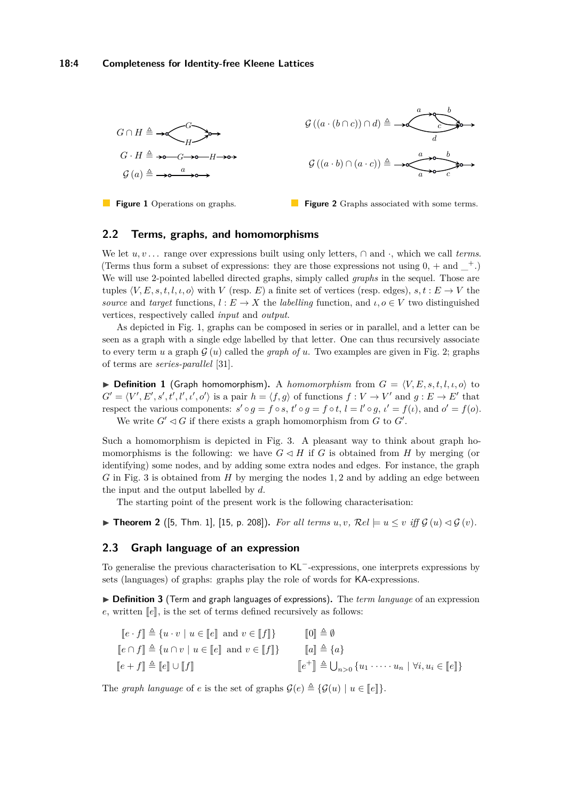<span id="page-3-0"></span>

**Figure 1** Operations on graphs.



## **2.2 Terms, graphs, and homomorphisms**

We let  $u, v \dots$  range over expressions built using only letters,  $\cap$  and  $\cdot$ , which we call *terms*. (Terms thus form a subset of expressions: they are those expressions not using  $0, +$  and  $\pm$ .) We will use 2-pointed labelled directed graphs, simply called *graphs* in the sequel. Those are tuples  $\langle V, E, s, t, l, \iota, o \rangle$  with *V* (resp. *E*) a finite set of vertices (resp. edges),  $s, t : E \to V$  the *source* and *target* functions,  $l : E \to X$  the *labelling* function, and  $l, o \in V$  two distinguished vertices, respectively called *input* and *output*.

As depicted in Fig. [1,](#page-3-0) graphs can be composed in series or in parallel, and a letter can be seen as a graph with a single edge labelled by that letter. One can thus recursively associate to every term *u* a graph  $G(u)$  called the *graph of u*. Two examples are given in Fig. [2;](#page-3-0) graphs of terms are *series-parallel* [\[31\]](#page-16-10).

**Definition 1** (Graph homomorphism). A *homomorphism* from  $G = \langle V, E, s, t, l, \iota, o \rangle$  to  $G' = \langle V', E', s', t', l', \iota', o' \rangle$  is a pair  $h = \langle f, g \rangle$  of functions  $f : V \to V'$  and  $g : E \to E'$  that respect the various components:  $s' \circ g = f \circ s$ ,  $t' \circ g = f \circ t$ ,  $l = l' \circ g$ ,  $l' = f(\iota)$ , and  $o' = f(o)$ . We write  $G' \lhd G$  if there exists a graph homomorphism from  $G$  to  $G'$ .

Such a homomorphism is depicted in Fig. [3.](#page-4-0) A pleasant way to think about graph homomorphisms is the following: we have  $G \triangleleft H$  if *G* is obtained from *H* by merging (or identifying) some nodes, and by adding some extra nodes and edges. For instance, the graph *G* in Fig. [3](#page-4-0) is obtained from *H* by merging the nodes 1*,* 2 and by adding an edge between the input and the output labelled by *d*.

The starting point of the present work is the following characterisation:

▶ **Theorem 2** ([\[5,](#page-15-18) Thm. 1], [\[15,](#page-15-19) p. 208]). *For all terms*  $u, v, \mathcal{R}el \models u \leq v$  *iff*  $\mathcal{G}(u) \triangleleft \mathcal{G}(v)$ .

### **2.3 Graph language of an expression**

To generalise the previous characterisation to KL<sup>−</sup>-expressions, one interprets expressions by sets (languages) of graphs: graphs play the role of words for KA-expressions.

▶ **Definition 3** (Term and graph languages of expressions). The *term language* of an expression  $e$ , written  $\llbracket e \rrbracket$ , is the set of terms defined recursively as follows:

$$
\begin{aligned}\n[e \cdot f] &\triangleq \{u \cdot v \mid u \in [e] \text{ and } v \in [f]\} && \text{[0]} \triangleq \emptyset \\
[e \cap f] &\triangleq \{u \cap v \mid u \in [e] \text{ and } v \in [f]\} && \text{[a]} \triangleq \{a\} \\
[e + f] &\triangleq [e] \cup [f] && \text{[c+1]} \triangleq \bigcup_{n>0} \{u_1 \cdot \dots \cdot u_n \mid \forall i, u_i \in [e]\}\n\end{aligned}
$$

The *graph language* of *e* is the set of graphs  $\mathcal{G}(e) \triangleq {\mathcal{G}(u) \mid u \in [e]}$ .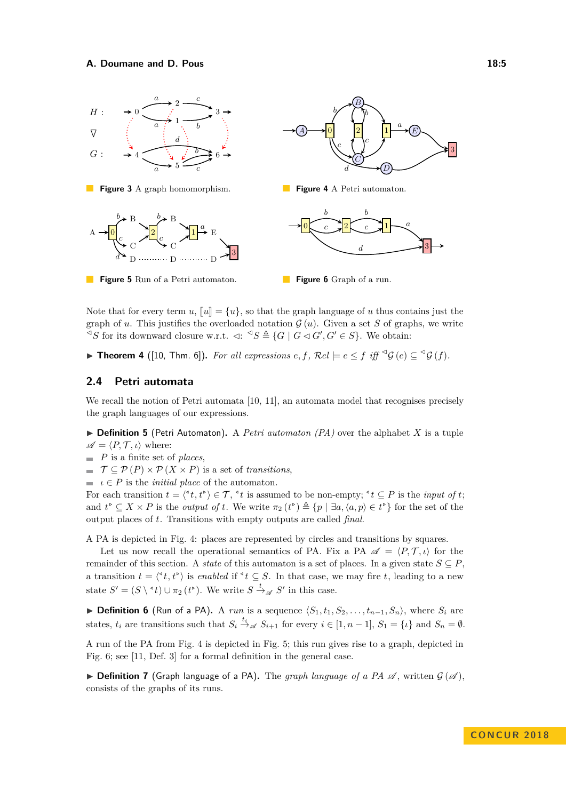<span id="page-4-0"></span>

<span id="page-4-1"></span>Note that for every term  $u$ ,  $\llbracket u \rrbracket = \{u\}$ , so that the graph language of *u* thus contains just the graph of *u*. This justifies the overloaded notation  $\mathcal{G}(u)$ . Given a set *S* of graphs, we write  $\leq S$  for its downward closure w.r.t.  $\lhd: \leq S \triangleq \{G \mid G \lhd G', G' \in S\}$ . We obtain:

<span id="page-4-2"></span>▶ **Theorem 4** ([\[10,](#page-15-13) Thm. 6]). *For all expressions*  $e, f$ ,  $\mathcal{R}el \models e \leq f$  *iff*  $\lhd \mathcal{G}(e) \subseteq \lhd \mathcal{G}(f)$ .

### **2.4 Petri automata**

We recall the notion of Petri automata [\[10,](#page-15-13) [11\]](#page-15-14), an automata model that recognises precisely the graph languages of our expressions.

 $\triangleright$  **Definition 5** (Petri Automaton). A *Petri automaton (PA)* over the alphabet *X* is a tuple  $\mathscr{A} = \langle P, \mathcal{T}, \iota \rangle$  where:

- *P* is a finite set of *places*,
- $\blacksquare$   $\mathcal{T} \subseteq \mathcal{P}(P) \times \mathcal{P}(X \times P)$  is a set of *transitions*,
- $\blacksquare$  *ι*  $\in$  *P* is the *initial place* of the automaton.

For each transition  $t = \langle ^4t, t^{\flat} \rangle \in \mathcal{T}$ ,  $^4t$  is assumed to be non-empty;  $^4t \subseteq P$  is the *input of t*; and  $t^{\infty} \subseteq X \times P$  is the *output of*  $t$ . We write  $\pi_2(t^{\infty}) \triangleq \{p \mid \exists a, \langle a, p \rangle \in t^{\infty}\}\)$  for the set of the output places of *t*. Transitions with empty outputs are called *final*.

A PA is depicted in Fig. [4:](#page-4-0) places are represented by circles and transitions by squares.

Let us now recall the operational semantics of PA. Fix a PA  $\mathscr{A} = \langle P, \mathcal{T}, \iota \rangle$  for the remainder of this section. A *state* of this automaton is a set of places. In a given state  $S \subseteq P$ , a transition  $t = \langle {}^4t, t^{\flat} \rangle$  is *enabled* if  ${}^4t \subseteq S$ . In that case, we may fire *t*, leading to a new state  $S' = (S \setminus {}^{\triangleleft} t) \cup \pi_2 (t^{\triangleright})$ . We write  $S \stackrel{t}{\rightarrow} \mathscr{A} S'$  in this case.

**▶ Definition 6** (Run of a PA). A *run* is a sequence  $\langle S_1, t_1, S_2, \ldots, t_{n-1}, S_n \rangle$ , where  $S_i$  are states,  $t_i$  are transitions such that  $S_i \stackrel{t_i}{\rightarrow} \mathscr{A} S_{i+1}$  for every  $i \in [1, n-1]$ ,  $S_1 = \{i\}$  and  $S_n = \emptyset$ .

A run of the PA from Fig. [4](#page-4-0) is depicted in Fig. [5;](#page-4-1) this run gives rise to a graph, depicted in Fig. [6;](#page-4-1) see [\[11,](#page-15-14) Def. 3] for a formal definition in the general case.

**Definition 7** (Graph language of a PA). The *graph language of a PA*  $\mathscr A$ , written  $\mathcal G(\mathscr A)$ , consists of the graphs of its runs.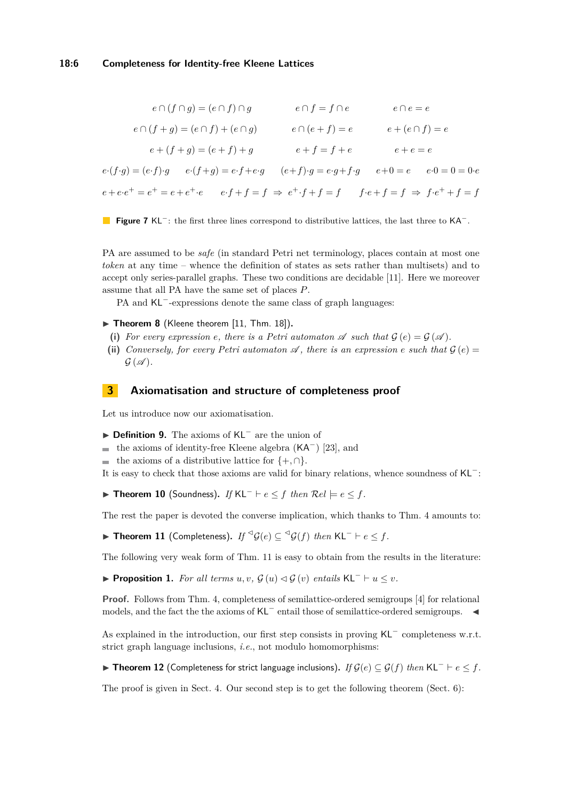$$
e \cap (f \cap g) = (e \cap f) \cap g \qquad e \cap f = f \cap e \qquad e \cap e = e
$$
  
\n
$$
e \cap (f + g) = (e \cap f) + (e \cap g) \qquad e \cap (e + f) = e \qquad e + (e \cap f) = e
$$
  
\n
$$
e + (f + g) = (e + f) + g \qquad e + f = f + e \qquad e + e = e
$$
  
\n
$$
e \cdot (f \cdot g) = (e \cdot f) \cdot g \qquad e \cdot (f + g) = e \cdot f + e \cdot g \qquad (e + f) \cdot g = e \cdot g + f \cdot g \qquad e + 0 = e \qquad e \cdot 0 = 0 = 0 \cdot e
$$
  
\n
$$
e + e \cdot e^+ = e^+ = e + e^+ \cdot e \qquad e \cdot f + f = f \Rightarrow e^+ \cdot f + f = f \qquad f \cdot e + f = f \Rightarrow f \cdot e^+ + f = f
$$



PA are assumed to be *safe* (in standard Petri net terminology, places contain at most one *token* at any time – whence the definition of states as sets rather than multisets) and to accept only series-parallel graphs. These two conditions are decidable [\[11\]](#page-15-14). Here we moreover assume that all PA have the same set of places *P*.

PA and KL<sup>-</sup>-expressions denote the same class of graph languages:

- <span id="page-5-2"></span>▶ Theorem 8 (Kleene theorem [\[11,](#page-15-14) Thm. 18]).
- (i) For every expression *e*, there is a Petri automaton  $\mathscr A$  such that  $\mathcal G$  (*e*) =  $\mathcal G$  ( $\mathscr A$ ).
- (ii) *Conversely, for every Petri automaton*  $\mathscr A$ , there is an expression *e* such that  $\mathcal G$  (*e*) =  $G(\mathscr{A})$ .

# <span id="page-5-0"></span>**3 Axiomatisation and structure of completeness proof**

Let us introduce now our axiomatisation.

- I **Definition 9.** The axioms of KL<sup>−</sup> are the union of
- $\blacksquare$  the axioms of identity-free Kleene algebra (KA<sup>-</sup>) [\[23\]](#page-16-7), and
- **■** the axioms of a distributive lattice for  ${+,\cap}$ .
- It is easy to check that those axioms are valid for binary relations, whence soundness of KL<sup>−</sup>:

**► Theorem 10** (Soundness). *If*  $KL^ \vdash e \leq f$  *then*  $Rel \models e \leq f$ *.* 

The rest the paper is devoted the converse implication, which thanks to Thm. [4](#page-4-2) amounts to:

<span id="page-5-1"></span>▶ Theorem 11 (Completeness). *If*  $\mathcal{G}(e) \subseteq \mathcal{G}(f)$  *then* KL<sup>-</sup>  $\vdash e \leq f$ .

The following very weak form of Thm. [11](#page-5-1) is easy to obtain from the results in the literature:

<span id="page-5-4"></span>**► Proposition 1.** *For all terms*  $u, v, \mathcal{G}(u) \triangleleft \mathcal{G}(v)$  *entails*  $KL^ \vdash u \leq v$ *.* 

**Proof.** Follows from Thm. [4,](#page-4-2) completeness of semilattice-ordered semigroups [\[4\]](#page-15-20) for relational models, and the fact the the axioms of KL<sup>−</sup> entail those of semilattice-ordered semigroups.  $\blacktriangleleft$ 

As explained in the introduction, our first step consists in proving KL<sup>−</sup> completeness w.r.t. strict graph language inclusions, *i.e.*, not modulo homomorphisms:

<span id="page-5-3"></span>I **Theorem 12** (Completeness for strict language inclusions)**.** *If* G(*e*) ⊆ G(*f*) *then* KL<sup>−</sup> ` *e* ≤ *f.*

The proof is given in Sect. [4.](#page-6-0) Our second step is to get the following theorem (Sect. [6\)](#page-11-0):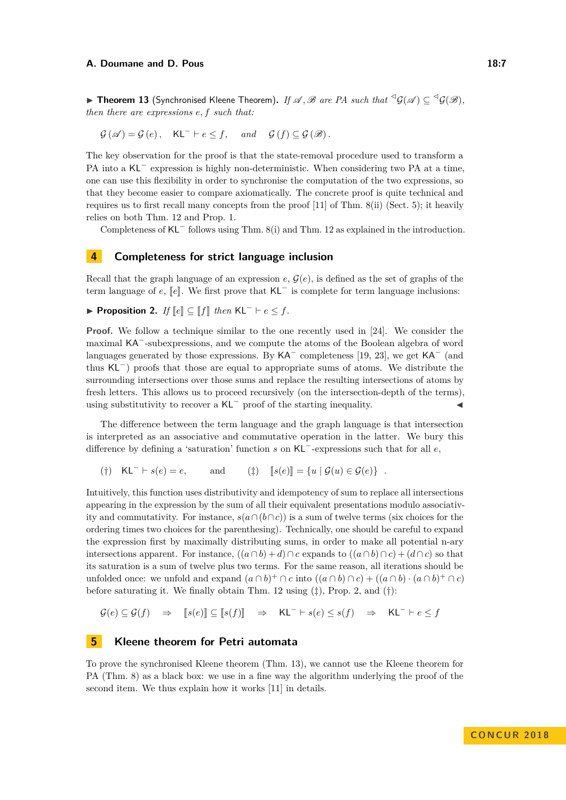<span id="page-6-3"></span>▶ Theorem 13 (Synchronised Kleene Theorem). *If*  $\mathscr{A}, \mathscr{B}$  are PA such that  ${}^{\leq} \mathcal{G}(\mathscr{A}) \subseteq {}^{\leq} \mathcal{G}(\mathscr{B})$ , *then there are expressions e, f such that:*

$$
\mathcal{G}(\mathscr{A}) = \mathcal{G}(e), \quad \mathsf{KL}^{-} \vdash e \leq f, \quad \text{and} \quad \mathcal{G}(f) \subseteq \mathcal{G}(\mathscr{B}).
$$

The key observation for the proof is that the state-removal procedure used to transform a PA into a KL<sup>−</sup> expression is highly non-deterministic. When considering two PA at a time, one can use this flexibility in order to synchronise the computation of the two expressions, so that they become easier to compare axiomatically. The concrete proof is quite technical and requires us to first recall many concepts from the proof [\[11\]](#page-15-14) of Thm. [8\(](#page-5-2)ii) (Sect. [5\)](#page-6-1); it heavily relies on both Thm. [12](#page-5-3) and Prop. [1.](#page-5-4)

Completeness of KL<sup>−</sup> follows using Thm. [8\(](#page-5-2)i) and Thm. [12](#page-5-3) as explained in the introduction.

# <span id="page-6-0"></span>**4 Completeness for strict language inclusion**

Recall that the graph language of an expression  $e, \mathcal{G}(e)$ , is defined as the set of graphs of the term language of  $e$ ,  $\llbracket e \rrbracket$ . We first prove that KL<sup> $-$ </sup> is complete for term language inclusions:

<span id="page-6-2"></span>**► Proposition 2.** *If*  $\llbracket e \rrbracket \subseteq \llbracket f \rrbracket$  *then*  $\mathsf{KL}^- \vdash e \leq f$ *.* 

**Proof.** We follow a technique similar to the one recently used in [\[24\]](#page-16-8). We consider the maximal KA<sup>−</sup>-subexpressions, and we compute the atoms of the Boolean algebra of word languages generated by those expressions. By  $\text{KA}^-$  completeness [\[19,](#page-15-11) [23\]](#page-16-7), we get  $\text{KA}^-$  (and thus KL<sup>−</sup>) proofs that those are equal to appropriate sums of atoms. We distribute the surrounding intersections over those sums and replace the resulting intersections of atoms by fresh letters. This allows us to proceed recursively (on the intersection-depth of the terms), using substitutivity to recover a  $KL^-$  proof of the starting inequality.

The difference between the term language and the graph language is that intersection is interpreted as an associative and commutative operation in the latter. We bury this difference by defining a 'saturation' function *s* on KL<sup>−</sup>-expressions such that for all *e*,

(†) KL<sup>-</sup>  $\vdash s(e) = e$ , and (<u>†)</u>  $[s(e)] = \{u \mid \mathcal{G}(u) \in \mathcal{G}(e)\}\$ .

Intuitively, this function uses distributivity and idempotency of sum to replace all intersections appearing in the expression by the sum of all their equivalent presentations modulo associativity and commutativity. For instance,  $s(a \cap (b \cap c))$  is a sum of twelve terms (six choices for the ordering times two choices for the parenthesing). Technically, one should be careful to expand the expression first by maximally distributing sums, in order to make all potential n-ary intersections apparent. For instance,  $((a \cap b) + d) \cap c$  expands to  $((a \cap b) \cap c) + (d \cap c)$  so that its saturation is a sum of twelve plus two terms. For the same reason, all iterations should be unfolded once: we unfold and expand  $(a \cap b)^+ \cap c$  into  $((a \cap b) \cap c) + ((a \cap b) \cdot (a \cap b)^+ \cap c)$ before saturating it. We finally obtain Thm. [12](#page-5-3) using (‡), Prop. [2,](#page-6-2) and (†):

$$
\mathcal{G}(e) \subseteq \mathcal{G}(f) \quad \Rightarrow \quad [s(e)] \subseteq [s(f)] \quad \Rightarrow \quad \mathsf{KL}^- \vdash s(e) \leq s(f) \quad \Rightarrow \quad \mathsf{KL}^- \vdash e \leq f
$$

# <span id="page-6-1"></span>**5 Kleene theorem for Petri automata**

To prove the synchronised Kleene theorem (Thm. [13\)](#page-6-3), we cannot use the Kleene theorem for PA (Thm. [8\)](#page-5-2) as a black box: we use in a fine way the algorithm underlying the proof of the second item. We thus explain how it works [\[11\]](#page-15-14) in details.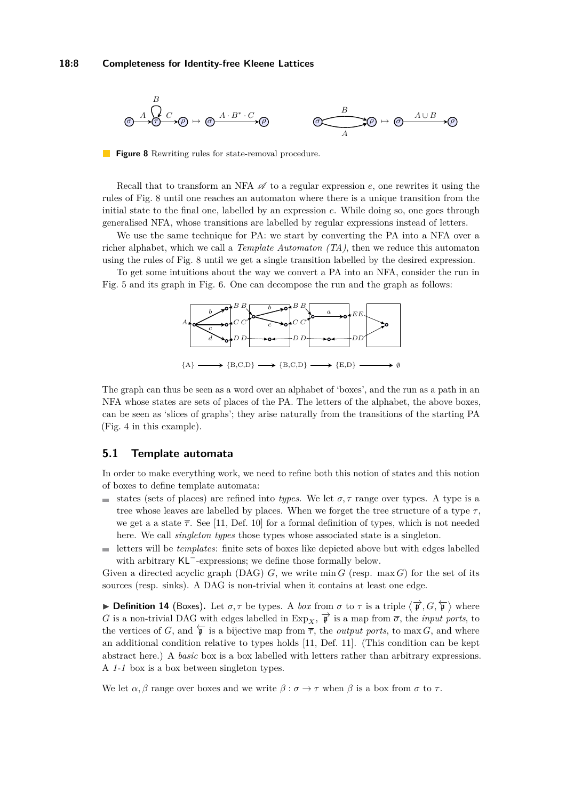<span id="page-7-0"></span>

**Figure 8** Rewriting rules for state-removal procedure.

Recall that to transform an NFA  $\mathscr A$  to a regular expression  $e$ , one rewrites it using the rules of Fig. [8](#page-7-0) until one reaches an automaton where there is a unique transition from the initial state to the final one, labelled by an expression *e*. While doing so, one goes through generalised NFA, whose transitions are labelled by regular expressions instead of letters.

We use the same technique for PA: we start by converting the PA into a NFA over a richer alphabet, which we call a *Template Automaton (TA)*, then we reduce this automaton using the rules of Fig. [8](#page-7-0) until we get a single transition labelled by the desired expression.

To get some intuitions about the way we convert a PA into an NFA, consider the run in Fig. [5](#page-4-1) and its graph in Fig. [6.](#page-4-1) One can decompose the run and the graph as follows:



The graph can thus be seen as a word over an alphabet of 'boxes', and the run as a path in an NFA whose states are sets of places of the PA. The letters of the alphabet, the above boxes, can be seen as 'slices of graphs'; they arise naturally from the transitions of the starting PA (Fig. [4](#page-4-0) in this example).

### **5.1 Template automata**

In order to make everything work, we need to refine both this notion of states and this notion of boxes to define template automata:

- states (sets of places) are refined into *types*. We let  $\sigma$ ,  $\tau$  range over types. A type is a tree whose leaves are labelled by places. When we forget the tree structure of a type  $\tau$ , we get a a state  $\bar{\tau}$ . See [\[11,](#page-15-14) Def. 10] for a formal definition of types, which is not needed here. We call *singleton types* those types whose associated state is a singleton.
- letters will be *templates*: finite sets of boxes like depicted above but with edges labelled with arbitrary KL<sup>−</sup>-expressions; we define those formally below.

Given a directed acyclic graph (DAG)  $G$ , we write min  $G$  (resp. max  $G$ ) for the set of its sources (resp. sinks). A DAG is non-trivial when it contains at least one edge.

**► Definition 14** (Boxes). Let  $\sigma, \tau$  be types. A *box* from  $\sigma$  to  $\tau$  is a triple  $\langle \overrightarrow{\mathfrak{p}}, G, \overleftarrow{\mathfrak{p}} \rangle$  where *G* is a non-trivial DAG with edges labelled in Exp<sub>*X*</sub>,  $\overrightarrow{p}$  is a map from  $\overrightarrow{\sigma}$ , the *input ports*, to the vertices of *G*, and  $\overleftarrow{\mathfrak{p}}$  is a bijective map from  $\overline{\tau}$ , the *output ports*, to max *G*, and where an additional condition relative to types holds [\[11,](#page-15-14) Def. 11]. (This condition can be kept abstract here.) A *basic* box is a box labelled with letters rather than arbitrary expressions. A *1-1* box is a box between singleton types.

We let  $\alpha$ ,  $\beta$  range over boxes and we write  $\beta$  :  $\sigma \to \tau$  when  $\beta$  is a box from  $\sigma$  to  $\tau$ .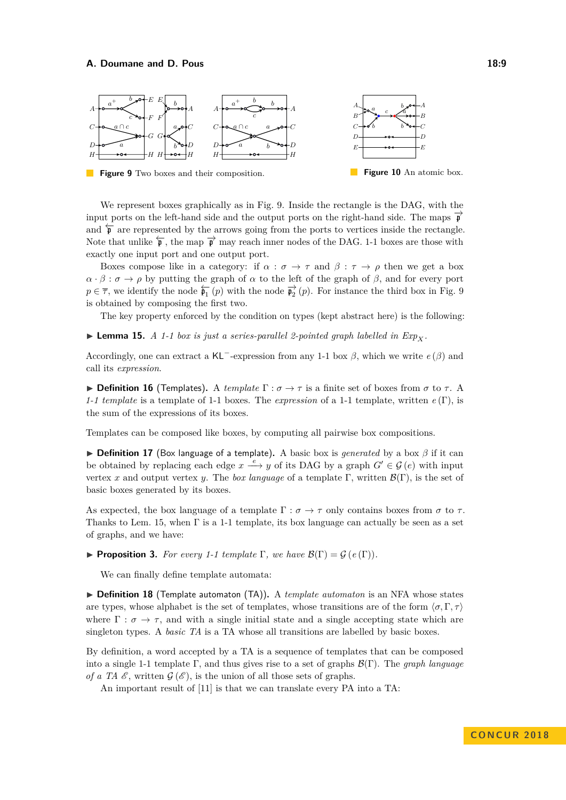<span id="page-8-0"></span>

We represent boxes graphically as in Fig. [9.](#page-8-0) Inside the rectangle is the DAG, with the input ports on the left-hand side and the output ports on the right-hand side. The maps  $\vec{p}$ and  $\overline{p}$  are represented by the arrows going from the ports to vertices inside the rectangle. Note that unlike  $\overleftarrow{\mathfrak{p}}$ , the map  $\overrightarrow{\mathfrak{p}}$  may reach inner nodes of the DAG. 1-1 boxes are those with exactly one input port and one output port.

Boxes compose like in a category: if  $\alpha : \sigma \to \tau$  and  $\beta : \tau \to \rho$  then we get a box  $\alpha \cdot \beta : \sigma \to \rho$  by putting the graph of  $\alpha$  to the left of the graph of  $\beta$ , and for every port  $p \in \overline{\tau}$ , we identify the node  $\overline{\mathfrak{p}_1}(p)$  with the node  $\overrightarrow{\mathfrak{p}_2}(p)$ . For instance the third box in Fig. [9](#page-8-0) is obtained by composing the first two.

The key property enforced by the condition on types (kept abstract here) is the following:

<span id="page-8-1"></span> $\blacktriangleright$  **Lemma 15.** *A 1-1 box is just a series-parallel 2-pointed graph labelled in*  $Exp_X$ *.* 

Accordingly, one can extract a KL<sup>−</sup>-expression from any 1-1 box *β*, which we write *e* (*β*) and call its *expression*.

**Definition 16** (Templates). A *template*  $\Gamma : \sigma \to \tau$  is a finite set of boxes from  $\sigma$  to  $\tau$ . A *1-1 template* is a template of 1-1 boxes. The *expression* of a 1-1 template, written *e* (Γ), is the sum of the expressions of its boxes.

Templates can be composed like boxes, by computing all pairwise box compositions.

**► Definition 17** (Box language of a template). A basic box is *generated* by a box *β* if it can be obtained by replacing each edge  $x \xrightarrow{e} y$  of its DAG by a graph  $G' \in \mathcal{G}(e)$  with input vertex *x* and output vertex *y*. The *box language* of a template Γ, written  $\mathcal{B}(\Gamma)$ , is the set of basic boxes generated by its boxes.

As expected, the box language of a template  $\Gamma : \sigma \to \tau$  only contains boxes from  $\sigma$  to  $\tau$ . Thanks to Lem. [15,](#page-8-1) when Γ is a 1-1 template, its box language can actually be seen as a set of graphs, and we have:

<span id="page-8-2"></span>**Proposition 3.** *For every 1-1 template*  $\Gamma$ *, we have*  $\mathcal{B}(\Gamma) = \mathcal{G}(e(\Gamma)).$ 

We can finally define template automata:

▶ **Definition 18** (Template automaton (TA)). A *template automaton* is an NFA whose states are types, whose alphabet is the set of templates, whose transitions are of the form  $\langle \sigma, \Gamma, \tau \rangle$ where  $\Gamma : \sigma \to \tau$ , and with a single initial state and a single accepting state which are singleton types. A *basic TA* is a TA whose all transitions are labelled by basic boxes.

By definition, a word accepted by a TA is a sequence of templates that can be composed into a single 1-1 template Γ, and thus gives rise to a set of graphs B(Γ). The *graph language of a TA*  $\mathscr E$ , written  $\mathscr G(\mathscr E)$ , is the union of all those sets of graphs.

An important result of [\[11\]](#page-15-14) is that we can translate every PA into a TA: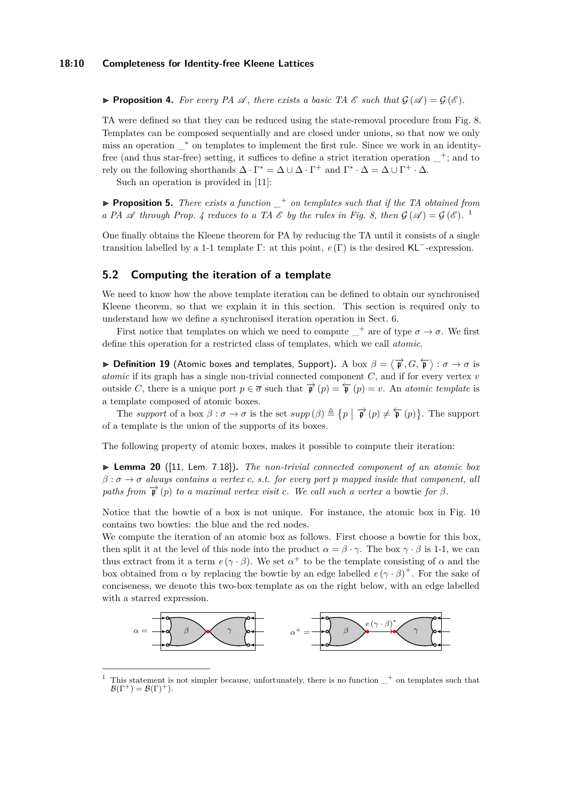<span id="page-9-0"></span>**Proposition 4.** For every PA  $\mathscr A$ , there exists a basic TA  $\mathscr E$  such that  $\mathcal G(\mathscr A) = \mathcal G(\mathscr E)$ .

TA were defined so that they can be reduced using the state-removal procedure from Fig. [8.](#page-7-0) Templates can be composed sequentially and are closed under unions, so that now we only miss an operation \_<sup>∗</sup> on templates to implement the first rule. Since we work in an identityfree (and thus star-free) setting, it suffices to define a strict iteration operation  $\pm$ ; and to rely on the following shorthands  $\Delta \cdot \Gamma^* = \Delta \cup \Delta \cdot \Gamma^+$  and  $\Gamma^* \cdot \Delta = \Delta \cup \Gamma^+ \cdot \Delta$ .

Such an operation is provided in [\[11\]](#page-15-14):

▶ **Proposition 5.** *There exists a function*  $_+$  *on templates such that if the TA obtained from a* PA  $\mathscr A$  *through Prop.* [4](#page-9-0) *reduces to a TA*  $\mathscr E$  *by the rules in Fig.* [8,](#page-7-0) *then*  $\mathscr G(\mathscr A) = \mathscr G(\mathscr E)$ . <sup>[1](#page-9-1)</sup>

One finally obtains the Kleene theorem for PA by reducing the TA until it consists of a single transition labelled by a 1-1 template Γ: at this point, *e* (Γ) is the desired KL−-expression.

### **5.2 Computing the iteration of a template**

We need to know how the above template iteration can be defined to obtain our synchronised Kleene theorem, so that we explain it in this section. This section is required only to understand how we define a synchronised iteration operation in Sect. [6.](#page-11-0)

First notice that templates on which we need to compute  $\_\,^+$  are of type  $\sigma \to \sigma$ . We first define this operation for a restricted class of templates, which we call *atomic*.

 $\blacktriangleright$  **Definition 19** (Atomic boxes and templates, Support). A box  $\beta = \langle \overrightarrow{\mathfrak{p}}, G, \overleftarrow{\mathfrak{p}} \rangle : \sigma \to \sigma$  is *atomic* if its graph has a single non-trivial connected component *C*, and if for every vertex *v* outside *C*, there is a unique port  $p \in \overline{\sigma}$  such that  $\overrightarrow{p}(p) = \overleftarrow{p}(p) = v$ . An *atomic template* is a template composed of atomic boxes.

The *support* of a box  $\beta : \sigma \to \sigma$  is the set  $supp(\beta) \triangleq \{p \mid \overrightarrow{\mathbf{p}}(p) \neq \overleftarrow{\mathbf{p}}(p)\}$ . The support of a template is the union of the supports of its boxes.

The following property of atomic boxes, makes it possible to compute their iteration:

I **Lemma 20** ([\[11,](#page-15-14) Lem. 7.18])**.** *The non-trivial connected component of an atomic box β* : *σ* → *σ always contains a vertex c, s.t. for every port p mapped inside that component, all paths from*  $\vec{p}(p)$  *to a maximal vertex visit c. We call such a vertex a bowtie for*  $\beta$ *.* 

Notice that the bowtie of a box is not unique. For instance, the atomic box in Fig. [10](#page-8-0) contains two bowties: the blue and the red nodes.

We compute the iteration of an atomic box as follows. First choose a bowtie for this box, then split it at the level of this node into the product  $\alpha = \beta \cdot \gamma$ . The box  $\gamma \cdot \beta$  is 1-1, we can thus extract from it a term  $e(\gamma \cdot \beta)$ . We set  $\alpha^+$  to be the template consisting of  $\alpha$  and the box obtained from  $\alpha$  by replacing the bowtie by an edge labelled  $e(\gamma \cdot \beta)^+$ . For the sake of conciseness, we denote this two-box template as on the right below, with an edge labelled with a starred expression.



<span id="page-9-1"></span><sup>&</sup>lt;sup>1</sup> This statement is not simpler because, unfortunately, there is no function  $t$  on templates such that  $\mathcal{B}(\Gamma^+) = \mathcal{B}(\Gamma)^+$ ).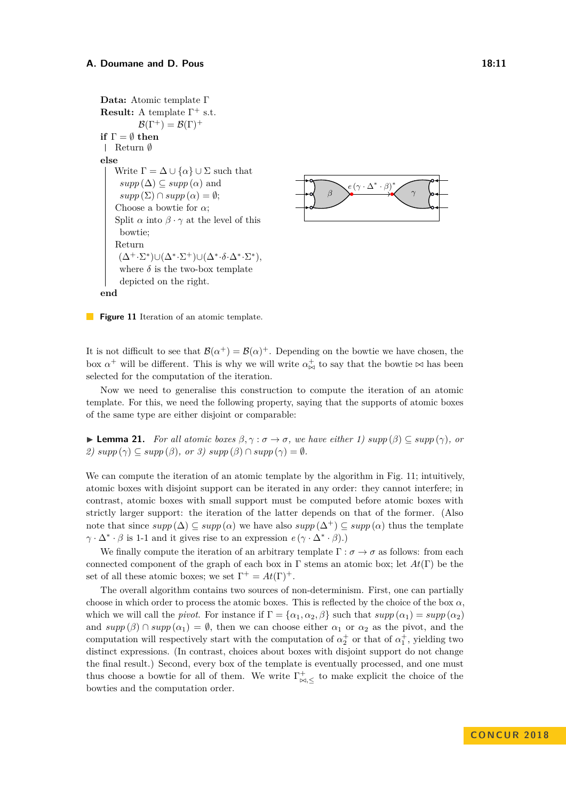<span id="page-10-0"></span>**Data:** Atomic template Γ **Result:** A template  $\Gamma^+$  s.t.  $\mathcal{B}(\Gamma^+) = \mathcal{B}(\Gamma)^+$ **if**  $\Gamma = \emptyset$  **then** Return ∅ **else** Write  $\Gamma = \Delta \cup \{\alpha\} \cup \Sigma$  such that  $supp(\Delta) \subseteq supp(\alpha)$  and  $supp(\Sigma) \cap supp(\alpha) = \emptyset;$ Choose a bowtie for *α*; Split  $\alpha$  into  $\beta \cdot \gamma$  at the level of this bowtie; Return  $(\Delta^+ \cdot \Sigma^*) \cup (\Delta^* \cdot \Sigma^+) \cup (\Delta^* \cdot \delta \cdot \Delta^* \cdot \Sigma^*),$ where  $\delta$  is the two-box template depicted on the right.



**end**

**Figure 11** Iteration of an atomic template.

It is not difficult to see that  $\mathcal{B}(\alpha^+) = \mathcal{B}(\alpha)^+$ . Depending on the bowtie we have chosen, the box  $\alpha^+$  will be different. This is why we will write  $\alpha^+_{\bowtie}$  to say that the bowtie  $\bowtie$  has been selected for the computation of the iteration.

Now we need to generalise this construction to compute the iteration of an atomic template. For this, we need the following property, saying that the supports of atomic boxes of the same type are either disjoint or comparable:

 $\blacktriangleright$  **Lemma 21.** *For all atomic boxes*  $\beta, \gamma : \sigma \to \sigma$ *, we have either 1) supp* ( $\beta$ ) ⊆ *supp* ( $\gamma$ )*, or 2)*  $supp(\gamma) \subseteq supp(\beta)$ , or 3)  $supp(\beta) \cap supp(\gamma) = \emptyset$ .

We can compute the iteration of an atomic template by the algorithm in Fig. [11;](#page-10-0) intuitively, atomic boxes with disjoint support can be iterated in any order: they cannot interfere; in contrast, atomic boxes with small support must be computed before atomic boxes with strictly larger support: the iteration of the latter depends on that of the former. (Also note that since  $supp(\Delta) \subset supp(\alpha)$  we have also  $supp(\Delta^+) \subset supp(\alpha)$  thus the template  $\gamma \cdot \Delta^* \cdot \beta$  is 1-1 and it gives rise to an expression  $e(\gamma \cdot \Delta^* \cdot \beta)$ .)

We finally compute the iteration of an arbitrary template  $\Gamma : \sigma \to \sigma$  as follows: from each connected component of the graph of each box in Γ stems an atomic box; let *At*(Γ) be the set of all these atomic boxes; we set  $\Gamma^+ = At(\Gamma)^+$ .

The overall algorithm contains two sources of non-determinism. First, one can partially choose in which order to process the atomic boxes. This is reflected by the choice of the box  $\alpha$ , which we will call the *pivot*. For instance if  $\Gamma = {\alpha_1, \alpha_2, \beta}$  such that  $supp(\alpha_1) = supp(\alpha_2)$ and  $supp(\beta) \cap supp(\alpha_1) = \emptyset$ , then we can choose either  $\alpha_1$  or  $\alpha_2$  as the pivot, and the computation will respectively start with the computation of  $\alpha_2^+$  or that of  $\alpha_1^+$ , yielding two distinct expressions. (In contrast, choices about boxes with disjoint support do not change the final result.) Second, every box of the template is eventually processed, and one must thus choose a bowtie for all of them. We write  $\Gamma^+_{\bowtie,\leq}$  to make explicit the choice of the bowties and the computation order.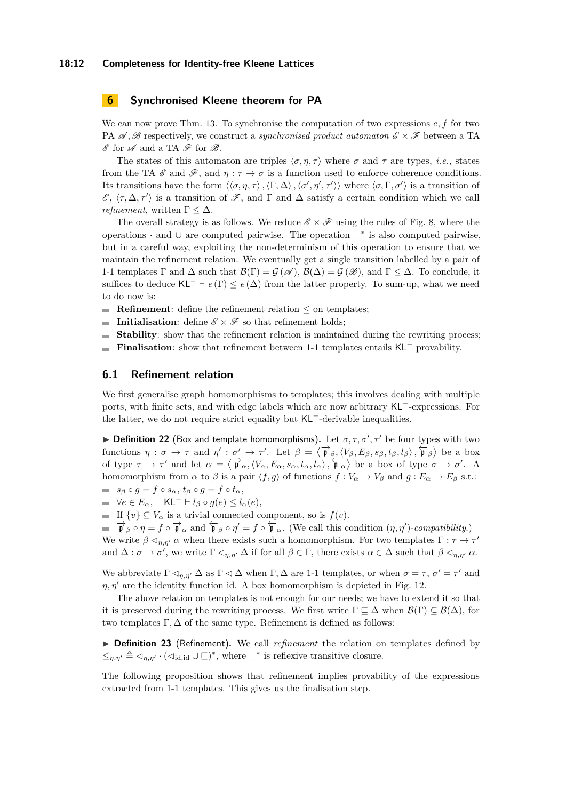#### **18:12 Completeness for Identity-free Kleene Lattices**

# <span id="page-11-0"></span>**6 Synchronised Kleene theorem for PA**

We can now prove Thm. [13.](#page-6-3) To synchronise the computation of two expressions *e, f* for two PA  $\mathscr A$ ,  $\mathscr B$  respectively, we construct a *synchronised product automaton*  $\mathscr E \times \mathscr F$  between a TA  $\mathscr E$  for  $\mathscr A$  and a TA  $\mathscr F$  for  $\mathscr B$ .

The states of this automaton are triples  $\langle \sigma, \eta, \tau \rangle$  where  $\sigma$  and  $\tau$  are types, *i.e.*, states from the TA  $\mathscr E$  and  $\mathscr F$ , and  $\eta: \overline{\tau} \to \overline{\sigma}$  is a function used to enforce coherence conditions. Its transitions have the form  $\langle \langle \sigma, \eta, \tau \rangle, \langle \Gamma, \Delta \rangle, \langle \sigma', \eta', \tau' \rangle \rangle$  where  $\langle \sigma, \Gamma, \sigma' \rangle$  is a transition of  $\mathscr{E}, \langle τ, Δ, τ' \rangle$  is a transition of  $\mathscr{F}$ , and Γ and Δ satisfy a certain condition which we call *refinement*, written  $\Gamma \leq \Delta$ .

The overall strategy is as follows. We reduce  $\mathscr{E} \times \mathscr{F}$  using the rules of Fig. [8,](#page-7-0) where the operations · and ∪ are computed pairwise. The operation \_<sup>∗</sup> is also computed pairwise, but in a careful way, exploiting the non-determinism of this operation to ensure that we maintain the refinement relation. We eventually get a single transition labelled by a pair of 1-1 templates Γ and  $\Delta$  such that  $\mathcal{B}(\Gamma) = \mathcal{G}(\mathscr{A}), \mathcal{B}(\Delta) = \mathcal{G}(\mathscr{B}),$  and  $\Gamma \leq \Delta$ . To conclude, it suffices to deduce KL<sup>-</sup>  $\vdash$  *e* (Γ)  $\leq$  *e*( $\Delta$ ) from the latter property. To sum-up, what we need to do now is:

- **Refinement:** define the refinement relation  $\leq$  on templates:
- **Initialisation:** define  $\mathscr{E} \times \mathscr{F}$  so that refinement holds;  $\mathbf{r}$
- **Stability**: show that the refinement relation is maintained during the rewriting process;  $\blacksquare$
- **Finalisation**: show that refinement between 1-1 templates entails KL<sup>−</sup> provability.  $\blacksquare$

## **6.1 Refinement relation**

We first generalise graph homomorphisms to templates; this involves dealing with multiple ports, with finite sets, and with edge labels which are now arbitrary KL<sup>−</sup>-expressions. For the latter, we do not require strict equality but KL<sup>−</sup>-derivable inequalities.

**Definition 22** (Box and template homomorphisms). Let  $\sigma, \tau, \sigma', \tau'$  be four types with two functions  $\eta : \overline{\sigma} \to \overline{\tau}$  and  $\eta' : \overline{\sigma'} \to \overline{\tau'}$ . Let  $\beta = \langle \overrightarrow{\mathbf{p}}_{\beta}, \langle V_{\beta}, E_{\beta}, s_{\beta}, t_{\beta}, l_{\beta} \rangle$ ,  $\overleftarrow{\mathbf{p}}_{\beta} \rangle$  be a box of type  $\tau \to \tau'$  and let  $\alpha = \langle \vec{\mathfrak{p}}_{\alpha}, \langle V_{\alpha}, E_{\alpha}, s_{\alpha}, t_{\alpha}, l_{\alpha} \rangle, \hat{\vec{\mathfrak{p}}}_{\alpha} \rangle$  be a box of type  $\sigma \to \sigma'$ . homomorphism from *α* to *β* is a pair  $\langle f, g \rangle$  of functions  $f : V_\alpha \to V_\beta$  and  $g : E_\alpha \to E_\beta$  s.t.:  $$ 

 $\blacksquare$   $\forall e \in E_\alpha$ ,  $\mathsf{KL}^- \vdash l_\beta \circ g(e) \leq l_\alpha(e)$ ,

■ If  $\{v\} \subseteq V_\alpha$  is a trivial connected component, so is  $f(v)$ .

 $\overrightarrow{\mathbf{p}}_{\beta} \circ \eta = f \circ \overrightarrow{\mathbf{p}}_{\alpha}$  and  $\overleftarrow{\mathbf{p}}_{\beta} \circ \eta' = f \circ \overleftarrow{\mathbf{p}}_{\alpha}$ . (We call this condition  $(\eta, \eta')$ -*compatibility*.) We write  $\beta \leq_{\eta,\eta'} \alpha$  when there exists such a homomorphism. For two templates  $\Gamma : \tau \to \tau'$ and  $\Delta : \sigma \to \sigma'$ , we write  $\Gamma \lhd_{\eta,\eta'} \Delta$  if for all  $\beta \in \Gamma$ , there exists  $\alpha \in \Delta$  such that  $\beta \lhd_{\eta,\eta'} \alpha$ .

We abbreviate  $\Gamma \lhd_{\eta,\eta'} \Delta$  as  $\Gamma \lhd \Delta$  when  $\Gamma, \Delta$  are 1-1 templates, or when  $\sigma = \tau$ ,  $\sigma' = \tau'$  and  $\eta$ ,  $\eta'$  are the identity function id. A box homomorphism is depicted in Fig. [12.](#page-12-0)

The above relation on templates is not enough for our needs; we have to extend it so that it is preserved during the rewriting process. We first write  $\Gamma \sqsubset \Delta$  when  $\mathcal{B}(\Gamma) \subset \mathcal{B}(\Delta)$ , for two templates  $\Gamma, \Delta$  of the same type. Refinement is defined as follows:

▶ Definition 23 (Refinement). We call *refinement* the relation on templates defined by  $\leq_{\eta,\eta'} \triangleq \lhd_{\eta,\eta'} \cdot (\lhd_{\mathrm{id},\mathrm{id}} \cup \sqsubseteq)^*$ , where  $\bot^*$  is reflexive transitive closure.

The following proposition shows that refinement implies provability of the expressions extracted from 1-1 templates. This gives us the finalisation step.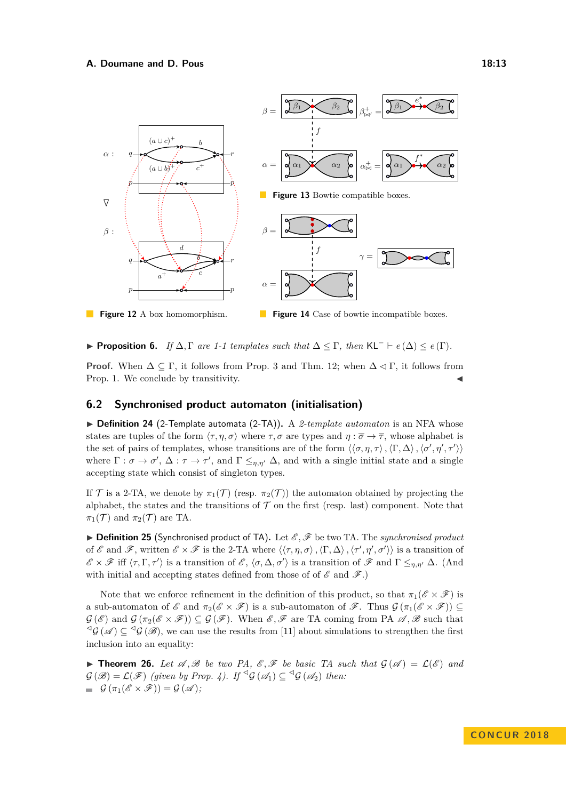<span id="page-12-0"></span>

<span id="page-12-1"></span>**► Proposition 6.** *If*  $\Delta$ ,  $\Gamma$  *are 1-1 templates such that*  $\Delta \leq \Gamma$ , *then* KL<sup>−</sup>  $\vdash$  *e*( $\Delta$ )  $\leq$  *e*( $\Gamma$ )*.* 

**Proof.** When  $\Delta \subseteq \Gamma$ , it follows from Prop. [3](#page-8-2) and Thm. [12;](#page-5-3) when  $\Delta \triangleleft \Gamma$ , it follows from Prop. [1.](#page-5-4) We conclude by transitivity.

# **6.2 Synchronised product automaton (initialisation)**

▶ Definition 24 (2-Template automata (2-TA)). A 2-template automaton is an NFA whose states are tuples of the form  $\langle \tau, \eta, \sigma \rangle$  where  $\tau, \sigma$  are types and  $\eta : \overline{\sigma} \to \overline{\tau}$ , whose alphabet is the set of pairs of templates, whose transitions are of the form  $\langle\langle \sigma, \eta, \tau\rangle, \langle \Gamma, \Delta \rangle, \langle \sigma', \eta', \tau' \rangle\rangle$ where  $\Gamma : \sigma \to \sigma', \Delta : \tau \to \tau'$ , and  $\Gamma \leq_{\eta,\eta'} \Delta$ , and with a single initial state and a single accepting state which consist of singleton types.

If T is a 2-TA, we denote by  $\pi_1(\mathcal{T})$  (resp.  $\pi_2(\mathcal{T})$ ) the automaton obtained by projecting the alphabet, the states and the transitions of  $\mathcal T$  on the first (resp. last) component. Note that  $\pi_1(\mathcal{T})$  and  $\pi_2(\mathcal{T})$  are TA.

▶ Definition 25 (Synchronised product of TA). Let  $\mathcal{E}, \mathcal{F}$  be two TA. The *synchronised product* of E and F, written  $\mathscr{E} \times \mathscr{F}$  is the 2-TA where  $\langle\langle \tau,\eta,\sigma\rangle,\langle \Gamma,\Delta\rangle,\langle \tau',\eta',\sigma'\rangle\rangle$  is a transition of  $\mathscr{E} \times \mathscr{F}$  iff  $\langle \tau, \Gamma, \tau' \rangle$  is a transition of  $\mathscr{E}, \langle \sigma, \Delta, \sigma' \rangle$  is a transition of  $\mathscr{F}$  and  $\Gamma \leq_{\eta, \eta'} \Delta$ . (And with initial and accepting states defined from those of of  $\mathscr E$  and  $\mathscr F$ .)

Note that we enforce refinement in the definition of this product, so that  $\pi_1(\mathscr{E}\times\mathscr{F})$  is a sub-automaton of  $\mathscr E$  and  $\pi_2(\mathscr E \times \mathscr F)$  is a sub-automaton of  $\mathscr F$ . Thus  $\mathcal G(\pi_1(\mathscr E \times \mathscr F)) \subseteq$  $\mathcal{G}(\mathscr{E})$  and  $\mathcal{G}(\pi_2(\mathscr{E}\times\mathscr{F}))\subseteq\mathcal{G}(\mathscr{F})$ . When  $\mathscr{E},\mathscr{F}$  are TA coming from PA  $\mathscr{A},\mathscr{B}$  such that  $\mathcal{L}_{\mathcal{G}}(\mathscr{A}) \subseteq \mathcal{L}_{\mathcal{G}}(\mathscr{B})$ , we can use the results from [\[11\]](#page-15-14) about simulations to strengthen the first inclusion into an equality:

**Find Theorem 26.** Let  $\mathscr A, \mathscr B$  be two PA,  $\mathscr E, \mathscr F$  be basic TA such that  $\mathcal G(\mathscr A) = \mathcal L(\mathscr E)$  and  $G(\mathscr{B}) = \mathcal{L}(\mathscr{F})$  *(given by Prop. [4\)](#page-9-0).* If  $\mathscr{G}(\mathscr{A}_1) \subseteq \mathscr{G}(\mathscr{A}_2)$  then:  $\mathcal{G}(\pi_1(\mathscr{E}\times\mathscr{F}))=\mathcal{G}(\mathscr{A});$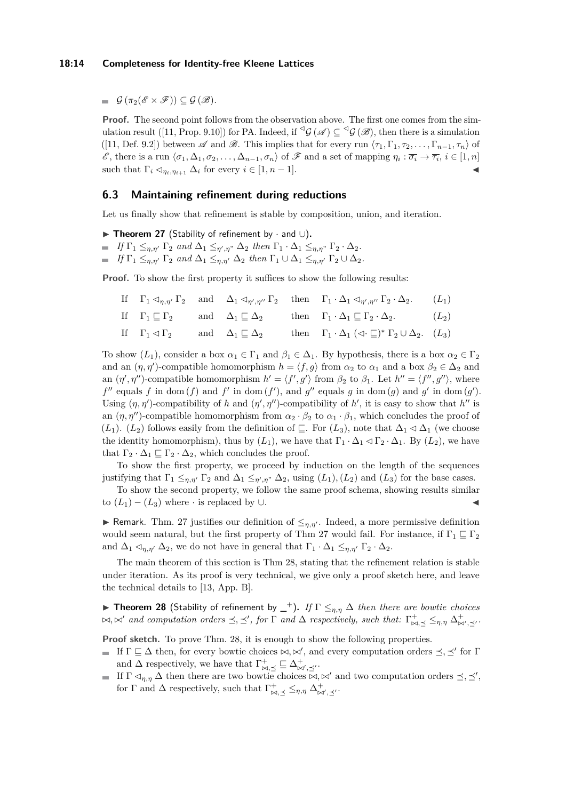$\mathcal{G}(\pi_2(\mathscr{E}\times\mathscr{F}))\subset\mathcal{G}(\mathscr{B}).$ 

**Proof.** The second point follows from the observation above. The first one comes from the sim-ulation result ([\[11,](#page-15-14) Prop. 9.10]) for PA. Indeed, if  $\mathscr{G}(\mathscr{A}) \subseteq \mathscr{G}(\mathscr{B})$ , then there is a simulation ([\[11,](#page-15-14) Def. 9.2]) between  $\mathscr A$  and  $\mathscr B$ . This implies that for every run  $\langle \tau_1, \Gamma_1, \tau_2, \ldots, \Gamma_{n-1}, \tau_n \rangle$  of  $\mathscr{E}$ , there is a run  $\langle \sigma_1, \Delta_1, \sigma_2, \ldots, \Delta_{n-1}, \sigma_n \rangle$  of  $\mathscr{F}$  and a set of mapping  $\eta_i : \overline{\sigma_i} \to \overline{\tau_i}$ ,  $i \in [1, n]$ such that  $\Gamma_i \lhd_{\eta_i, \eta_{i+1}} \Delta_i$  for every  $i \in [1, n-1]$ .

### **6.3 Maintaining refinement during reductions**

Let us finally show that refinement is stable by composition, union, and iteration.

- <span id="page-13-0"></span>**► Theorem 27** (Stability of refinement by  $\cdot$  and  $\cup$ ).
- $If \Gamma_1 \leq_{\eta,\eta'} \Gamma_2 \text{ and } \Delta_1 \leq_{\eta',\eta''} \Delta_2 \text{ then } \Gamma_1 \cdot \Delta_1 \leq_{\eta,\eta''} \Gamma_2 \cdot \Delta_2.$

*If*  $\Gamma_1 \leq_{\eta,\eta'} \Gamma_2$  *and*  $\Delta_1 \leq_{\eta,\eta'} \Delta_2$  *then*  $\Gamma_1 \cup \Delta_1 \leq_{\eta,\eta'} \Gamma_2 \cup \Delta_2$ *.* 

**Proof.** To show the first property it suffices to show the following results:

If  $\Gamma_1 \lhd_{\eta,\eta'} \Gamma_2$  and  $\Delta_1 \lhd_{\eta',\eta''} \Gamma_2$  then  $\Gamma_1 \cdot \Delta_1 \lhd_{\eta',\eta''} \Gamma_2 \cdot \Delta_2$ .  $(L_1)$ If  $\Gamma_1 \sqsubseteq \Gamma_2$  and  $\Delta_1 \sqsubseteq \Delta_2$  then  $\Gamma_1 \cdot \Delta_1 \sqsubseteq \Gamma_2 \cdot \Delta_2$ .  $(L_2)$ If  $\Gamma_1 \lhd \Gamma_2$  and  $\Delta_1 \sqsubseteq \Delta_2$  then  $\Gamma_1 \cdot \Delta_1 \lhd \Gamma_2 \cup \Delta_2$ .  $(L_3)$ 

To show  $(L_1)$ , consider a box  $\alpha_1 \in \Gamma_1$  and  $\beta_1 \in \Delta_1$ . By hypothesis, there is a box  $\alpha_2 \in \Gamma_2$ and an  $(\eta, \eta')$ -compatible homomorphism  $h = \langle f, g \rangle$  from  $\alpha_2$  to  $\alpha_1$  and a box  $\beta_2 \in \Delta_2$  and an  $(\eta', \eta'')$ -compatible homomorphism  $h' = \langle f', g' \rangle$  from  $\beta_2$  to  $\beta_1$ . Let  $h'' = \langle f'', g'' \rangle$ , where  $f''$  equals  $f$  in dom  $(f)$  and  $f'$  in dom  $(f')$ , and  $g''$  equals  $g$  in dom  $(g)$  and  $g'$  in dom  $(g')$ . Using  $(\eta, \eta')$ -compatibility of *h* and  $(\eta', \eta'')$ -compatibility of *h'*, it is easy to show that *h''* is an  $(\eta, \eta'')$ -compatible homomorphism from  $\alpha_2 \cdot \beta_2$  to  $\alpha_1 \cdot \beta_1$ , which concludes the proof of  $(L_1)$ .  $(L_2)$  follows easily from the definition of  $\subseteq$ . For  $(L_3)$ , note that  $\Delta_1 \triangleleft \Delta_1$  (we choose the identity homomorphism), thus by  $(L_1)$ , we have that  $\Gamma_1 \cdot \Delta_1 \lhd \Gamma_2 \cdot \Delta_1$ . By  $(L_2)$ , we have that  $\Gamma_2 \cdot \Delta_1 \sqsubseteq \Gamma_2 \cdot \Delta_2$ , which concludes the proof.

To show the first property, we proceed by induction on the length of the sequences justifying that  $\Gamma_1 \leq_{\eta,\eta'} \Gamma_2$  and  $\Delta_1 \leq_{\eta',\eta''} \Delta_2$ , using  $(L_1), (L_2)$  and  $(L_3)$  for the base cases.

To show the second property, we follow the same proof schema, showing results similar to  $(L_1) - (L_3)$  where  $\cdot$  is replaced by  $\cup$ .

**► Remark**. Thm. [27](#page-13-0) justifies our definition of  $\leq_{\eta,\eta'}$ . Indeed, a more permissive definition would seem natural, but the first property of Thm [27](#page-13-0) would fail. For instance, if  $\Gamma_1 \sqsubseteq \Gamma_2$ and  $\Delta_1 \lhd_{\eta,\eta'} \Delta_2$ , we do not have in general that  $\Gamma_1 \cdot \Delta_1 \leq_{\eta,\eta'} \Gamma_2 \cdot \Delta_2$ .

The main theorem of this section is Thm [28,](#page-13-1) stating that the refinement relation is stable under iteration. As its proof is very technical, we give only a proof sketch here, and leave the technical details to [\[13,](#page-15-0) App. B].

<span id="page-13-1"></span>**► Theorem 28** (Stability of refinement by  $\bot$ ). If  $\Gamma$   $\leq_{\eta,\eta}$   $\Delta$  *then there are bowtie choices*  $\bowtie$ ,  $\bowtie'$  *and computation orders*  $\preceq$ ,  $\preceq'$ , *for*  $\Gamma$  *and*  $\Delta$  *respectively, such that:*  $\Gamma^+_{\bowtie, \preceq} \leq_{\eta, \eta} \Delta^+_{\bowtie', \preceq'}$ .

**Proof sketch.** To prove Thm. [28,](#page-13-1) it is enough to show the following properties.

- If  $\Gamma \sqsubseteq \Delta$  then, for every bowtie choices  $\bowtie, \bowtie'$ , and every computation orders  $\preceq, \preceq'$  for  $\Gamma$ and  $\Delta$  respectively, we have that  $\Gamma^+_{\bowtie,\preceq} \sqsubseteq \Delta^+_{\bowtie',\preceq'}$ .
- If  $\Gamma \lhd_{\eta,\eta} \Delta$  then there are two bowtie choices  $\bowtie, \bowtie'$  and two computation orders  $\preceq, \preceq',$ for  $\Gamma$  and  $\Delta$  respectively, such that  $\Gamma^+_{\bowtie,\preceq} \leq_{\eta,\eta} \Delta^+_{\bowtie',\preceq'}$ .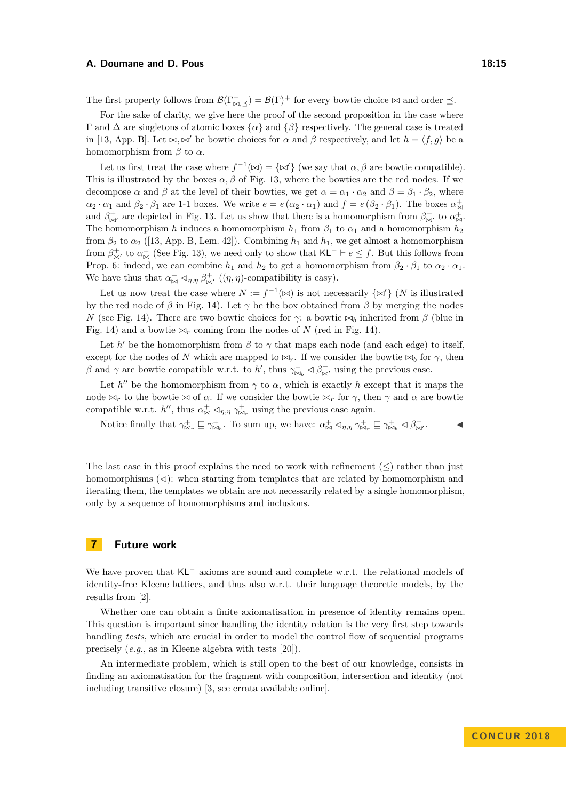#### **A. Doumane and D. Pous 18:15**

The first property follows from  $\mathcal{B}(\Gamma^+_{\bowtie,\preceq}) = \mathcal{B}(\Gamma)^+$  for every bowtie choice  $\bowtie$  and order  $\preceq$ .

For the sake of clarity, we give here the proof of the second proposition in the case where  $Γ$  and  $Δ$  are singletons of atomic boxes  ${α}$  and  ${β}$  respectively. The general case is treated in [\[13,](#page-15-0) App. B]. Let  $\bowtie, \bowtie'$  be bowtie choices for  $\alpha$  and  $\beta$  respectively, and let  $h = \langle f, g \rangle$  be a homomorphism from  $\beta$  to  $\alpha$ .

Let us first treat the case where  $f^{-1}(\bowtie) = {\{\bowtie'\}}$  (we say that  $\alpha, \beta$  are bowtie compatible). This is illustrated by the boxes  $\alpha$ ,  $\beta$  of Fig. [13,](#page-12-0) where the bowties are the red nodes. If we decompose  $\alpha$  and  $\beta$  at the level of their bowties, we get  $\alpha = \alpha_1 \cdot \alpha_2$  and  $\beta = \beta_1 \cdot \beta_2$ , where  $\alpha_2 \cdot \alpha_1$  and  $\beta_2 \cdot \beta_1$  are 1-1 boxes. We write  $e = e(\alpha_2 \cdot \alpha_1)$  and  $f = e(\beta_2 \cdot \beta_1)$ . The boxes  $\alpha_{\bowtie}^+$ and  $\beta^{\dagger}_{\bowtie'}$  are depicted in Fig. [13.](#page-12-0) Let us show that there is a homomorphism from  $\beta^{\dagger}_{\bowtie'}$  to  $\alpha^{\dagger}_{\bowtie'}$ . The homomorphism *h* induces a homomorphism  $h_1$  from  $\beta_1$  to  $\alpha_1$  and a homomorphism  $h_2$ from  $\beta_2$  to  $\alpha_2$  ([\[13,](#page-15-0) App. B, Lem. 42]). Combining  $h_1$  and  $h_1$ , we get almost a homomorphism from  $\beta^{\dagger}_{\bowtie'}$  to  $\alpha^{\dagger}_{\bowtie}$  (See Fig. [13\)](#page-12-0), we need only to show that KL<sup>-</sup>  $\vdash e \leq f$ . But this follows from Prop. [6:](#page-12-1) indeed, we can combine  $h_1$  and  $h_2$  to get a homomorphism from  $\beta_2 \cdot \beta_1$  to  $\alpha_2 \cdot \alpha_1$ . We have thus that  $\alpha_{\bowtie}^+ \lhd_{\eta,\eta} \beta_{\bowtie'}^+$   $((\eta,\eta)$ -compatibility is easy).

Let us now treat the case where  $N := f^{-1}(\infty)$  is not necessarily  $\{\infty'\}$  (*N* is illustrated by the red node of  $\beta$  in Fig. [14\)](#page-12-0). Let  $\gamma$  be the box obtained from  $\beta$  by merging the nodes *N* (see Fig. [14\)](#page-12-0). There are two bowtie choices for *γ*: a bowtie  $\bowtie_b$  inherited from *β* (blue in Fig. [14\)](#page-12-0) and a bowtie  $\bowtie_r$  coming from the nodes of *N* (red in Fig. 14).

Let  $h'$  be the homomorphism from  $\beta$  to  $\gamma$  that maps each node (and each edge) to itself, except for the nodes of *N* which are mapped to  $\bowtie_r$ . If we consider the bowtie  $\bowtie_b$  for  $\gamma$ , then *β* and *γ* are bowtie compatible w.r.t. to *h*<sup>*'*</sup>, thus  $\gamma_{\bowtie_b}^+ \lhd \beta_{\bowtie'}^+$  using the previous case.

Let  $h''$  be the homomorphism from  $\gamma$  to  $\alpha$ , which is exactly *h* except that it maps the node  $\bowtie_r$  to the bowtie  $\bowtie$  of  $\alpha$ . If we consider the bowtie  $\bowtie_r$  for  $\gamma$ , then  $\gamma$  and  $\alpha$  are bowtie compatible w.r.t. *h*<sup>*n*</sup>, thus  $\alpha_{\bowtie}^+ \lhd_{\eta,\eta} \gamma_{\bowtie_r}^+$  using the previous case again.

Notice finally that  $\gamma_{\bowtie_r}^+ \subseteq \gamma_{\bowtie_b}^+$ . To sum up, we have:  $\alpha_{\bowtie}^+ \lhd_{\eta,\eta} \gamma_{\bowtie_r}^+ \subseteq \gamma_{\bowtie_b}^+ \lhd \beta_{\bowtie'}^+$ .

The last case in this proof explains the need to work with refinement  $(\leq)$  rather than just homomorphisms  $(\triangleleft)$ : when starting from templates that are related by homomorphism and iterating them, the templates we obtain are not necessarily related by a single homomorphism, only by a sequence of homomorphisms and inclusions.

# **7 Future work**

We have proven that KL<sup>−</sup> axioms are sound and complete w.r.t. the relational models of identity-free Kleene lattices, and thus also w.r.t. their language theoretic models, by the results from [\[2\]](#page-15-15).

Whether one can obtain a finite axiomatisation in presence of identity remains open. This question is important since handling the identity relation is the very first step towards handling *tests*, which are crucial in order to model the control flow of sequential programs precisely (*e.g.*, as in Kleene algebra with tests [\[20\]](#page-15-1)).

An intermediate problem, which is still open to the best of our knowledge, consists in finding an axiomatisation for the fragment with composition, intersection and identity (not including transitive closure) [\[3,](#page-15-16) see errata available online].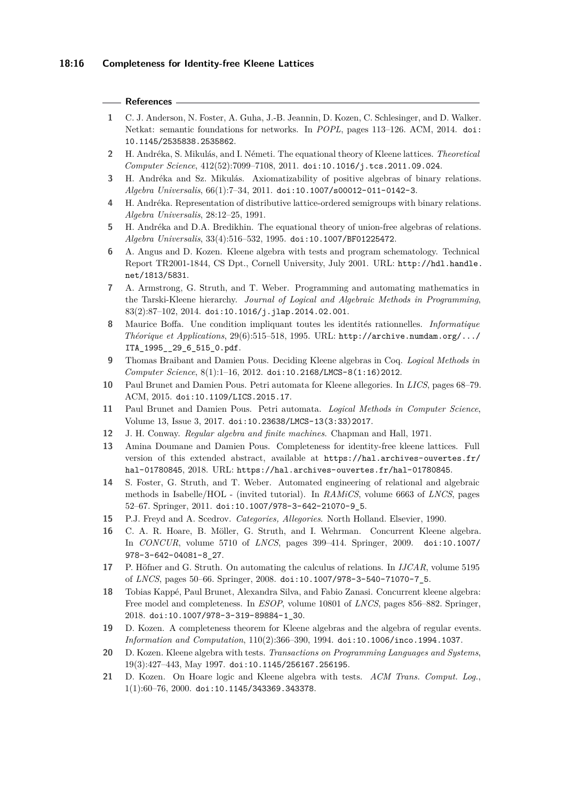#### **References**

- <span id="page-15-5"></span>**1** C. J. Anderson, N. Foster, A. Guha, J.-B. Jeannin, D. Kozen, C. Schlesinger, and D. Walker. Netkat: semantic foundations for networks. In *POPL*, pages 113–126. ACM, 2014. [doi:](http://dx.doi.org/10.1145/2535838.2535862) [10.1145/2535838.2535862](http://dx.doi.org/10.1145/2535838.2535862).
- <span id="page-15-15"></span>**2** H. Andréka, S. Mikulás, and I. Németi. The equational theory of Kleene lattices. *Theoretical Computer Science*, 412(52):7099–7108, 2011. [doi:10.1016/j.tcs.2011.09.024](http://dx.doi.org/10.1016/j.tcs.2011.09.024).
- <span id="page-15-16"></span>**3** H. Andréka and Sz. Mikulás. Axiomatizability of positive algebras of binary relations. *Algebra Universalis*, 66(1):7–34, 2011. [doi:10.1007/s00012-011-0142-3](http://dx.doi.org/10.1007/s00012-011-0142-3).
- <span id="page-15-20"></span>**4** H. Andréka. Representation of distributive lattice-ordered semigroups with binary relations. *Algebra Universalis*, 28:12–25, 1991.
- <span id="page-15-18"></span>**5** H. Andréka and D.A. Bredikhin. The equational theory of union-free algebras of relations. *Algebra Universalis*, 33(4):516–532, 1995. [doi:10.1007/BF01225472](http://dx.doi.org/10.1007/BF01225472).
- <span id="page-15-3"></span>**6** A. Angus and D. Kozen. Kleene algebra with tests and program schematology. Technical Report TR2001-1844, CS Dpt., Cornell University, July 2001. URL: [http://hdl.handle.](http://hdl.handle.net/1813/5831) [net/1813/5831](http://hdl.handle.net/1813/5831).
- <span id="page-15-9"></span>**7** A. Armstrong, G. Struth, and T. Weber. Programming and automating mathematics in the Tarski-Kleene hierarchy. *Journal of Logical and Algebraic Methods in Programming*,  $83(2):87-102$ ,  $2014.$  [doi:10.1016/j.jlap.2014.02.001](http://dx.doi.org/10.1016/j.jlap.2014.02.001).
- <span id="page-15-12"></span>**8** Maurice Boffa. Une condition impliquant toutes les identités rationnelles. *Informatique Théorique et Applications*, 29(6):515–518, 1995. URL: [http://archive.numdam.org/.../](http://archive.numdam.org/.../ITA_1995__29_6_515_0.pdf) [ITA\\_1995\\_\\_29\\_6\\_515\\_0.pdf](http://archive.numdam.org/.../ITA_1995__29_6_515_0.pdf).
- <span id="page-15-8"></span>**9** Thomas Braibant and Damien Pous. Deciding Kleene algebras in Coq. *Logical Methods in Computer Science*, 8(1):1–16, 2012. [doi:10.2168/LMCS-8\(1:16\)2012](http://dx.doi.org/10.2168/LMCS-8(1:16)2012).
- <span id="page-15-13"></span>**10** Paul Brunet and Damien Pous. Petri automata for Kleene allegories. In *LICS*, pages 68–79. ACM, 2015. [doi:10.1109/LICS.2015.17](http://dx.doi.org/10.1109/LICS.2015.17).
- <span id="page-15-14"></span>**11** Paul Brunet and Damien Pous. Petri automata. *Logical Methods in Computer Science*, Volume 13, Issue 3, 2017. [doi:10.23638/LMCS-13\(3:33\)2017](http://dx.doi.org/10.23638/LMCS-13(3:33)2017).
- <span id="page-15-10"></span>**12** J. H. Conway. *Regular algebra and finite machines*. Chapman and Hall, 1971.
- <span id="page-15-0"></span>**13** Amina Doumane and Damien Pous. Completeness for identity-free kleene lattices. Full version of this extended abstract, available at [https://hal.archives-ouvertes.fr/](https://hal.archives-ouvertes.fr/hal-01780845) [hal-01780845](https://hal.archives-ouvertes.fr/hal-01780845), 2018. URL: <https://hal.archives-ouvertes.fr/hal-01780845>.
- <span id="page-15-7"></span>**14** S. Foster, G. Struth, and T. Weber. Automated engineering of relational and algebraic methods in Isabelle/HOL - (invited tutorial). In *RAMiCS*, volume 6663 of *LNCS*, pages 52–67. Springer, 2011. [doi:10.1007/978-3-642-21070-9\\_5](http://dx.doi.org/10.1007/978-3-642-21070-9_5).
- <span id="page-15-19"></span>**15** P.J. Freyd and A. Scedrov. *Categories, Allegories*. North Holland. Elsevier, 1990.
- <span id="page-15-4"></span>**16** C. A. R. Hoare, B. Möller, G. Struth, and I. Wehrman. Concurrent Kleene algebra. In *CONCUR*, volume 5710 of *LNCS*, pages 399–414. Springer, 2009. [doi:10.1007/](http://dx.doi.org/10.1007/978-3-642-04081-8_27) [978-3-642-04081-8\\_27](http://dx.doi.org/10.1007/978-3-642-04081-8_27).
- <span id="page-15-6"></span>**17** P. Höfner and G. Struth. On automating the calculus of relations. In *IJCAR*, volume 5195 of *LNCS*, pages 50–66. Springer, 2008. [doi:10.1007/978-3-540-71070-7\\_5](http://dx.doi.org/10.1007/978-3-540-71070-7_5).
- <span id="page-15-17"></span>**18** Tobias Kappé, Paul Brunet, Alexandra Silva, and Fabio Zanasi. Concurrent kleene algebra: Free model and completeness. In *ESOP*, volume 10801 of *LNCS*, pages 856–882. Springer, 2018. [doi:10.1007/978-3-319-89884-1\\_30](http://dx.doi.org/10.1007/978-3-319-89884-1_30).
- <span id="page-15-11"></span>**19** D. Kozen. A completeness theorem for Kleene algebras and the algebra of regular events. *Information and Computation*, 110(2):366–390, 1994. [doi:10.1006/inco.1994.1037](http://dx.doi.org/10.1006/inco.1994.1037).
- <span id="page-15-1"></span>**20** D. Kozen. Kleene algebra with tests. *Transactions on Programming Languages and Systems*, 19(3):427–443, May 1997. [doi:10.1145/256167.256195](http://dx.doi.org/10.1145/256167.256195).
- <span id="page-15-2"></span>**21** D. Kozen. On Hoare logic and Kleene algebra with tests. *ACM Trans. Comput. Log.*, 1(1):60–76, 2000. [doi:10.1145/343369.343378](http://dx.doi.org/10.1145/343369.343378).